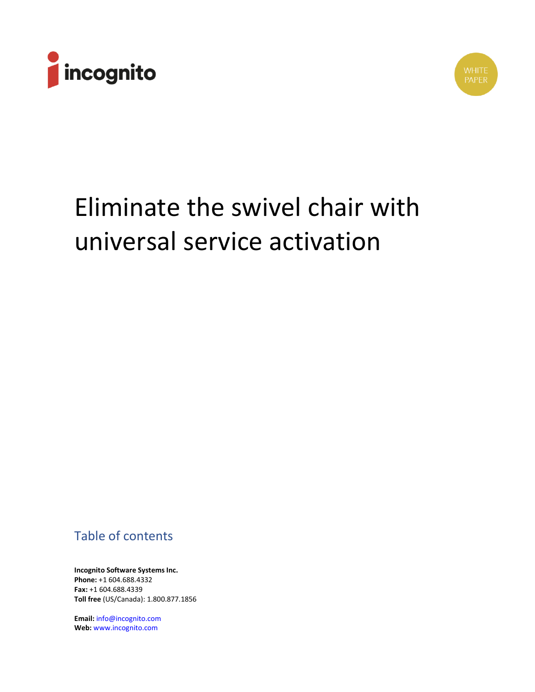



# Eliminate the swivel chair with universal service activation

# Table of contents

**Incognito Software Systems Inc. Phone:** +1 604.688.4332 **Fax:** +1 604.688.4339 **Toll free** (US/Canada): 1.800.877.1856

**Email:** info@incognito.com **Web:** www.incognito.com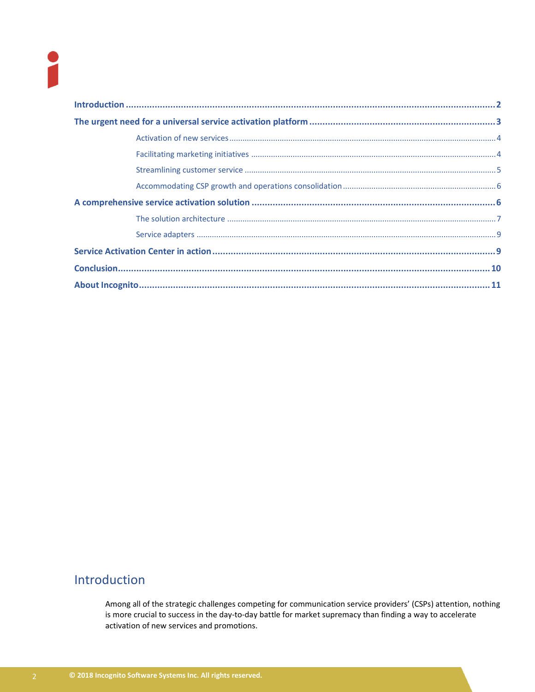## <span id="page-1-0"></span>Introduction

Among all of the strategic challenges competing for communication service providers' (CSPs) attention, nothing is more crucial to success in the day-to-day battle for market supremacy than finding a way to accelerate activation of new services and promotions.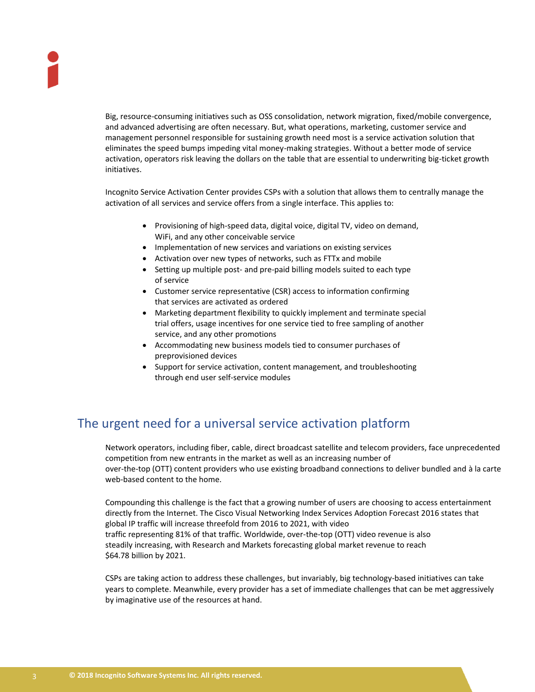Big, resource-consuming initiatives such as OSS consolidation, network migration, fixed/mobile convergence, and advanced advertising are often necessary. But, what operations, marketing, customer service and management personnel responsible for sustaining growth need most is a service activation solution that eliminates the speed bumps impeding vital money-making strategies. Without a better mode of service activation, operators risk leaving the dollars on the table that are essential to underwriting big-ticket growth initiatives.

Incognito Service Activation Center provides CSPs with a solution that allows them to centrally manage the activation of all services and service offers from a single interface. This applies to:

- Provisioning of high-speed data, digital voice, digital TV, video on demand, WiFi, and any other conceivable service
- Implementation of new services and variations on existing services
- Activation over new types of networks, such as FTTx and mobile
- Setting up multiple post- and pre-paid billing models suited to each type of service
- Customer service representative (CSR) access to information confirming that services are activated as ordered
- Marketing department flexibility to quickly implement and terminate special trial offers, usage incentives for one service tied to free sampling of another service, and any other promotions
- Accommodating new business models tied to consumer purchases of preprovisioned devices
- Support for service activation, content management, and troubleshooting through end user self-service modules

## <span id="page-2-0"></span>The urgent need for a universal service activation platform

Network operators, including fiber, cable, direct broadcast satellite and telecom providers, face unprecedented competition from new entrants in the market as well as an increasing number of over-the-top (OTT) content providers who use existing broadband connections to deliver bundled and à la carte web-based content to the home.

Compounding this challenge is the fact that a growing number of users are choosing to access entertainment directly from the Internet. The Cisco Visual Networking Index Services Adoption Forecast 2016 states that global IP traffic will increase threefold from 2016 to 2021, with video traffic representing 81% of that traffic. Worldwide, over-the-top (OTT) video revenue is also steadily increasing, with Research and Markets forecasting global market revenue to reach \$64.78 billion by 2021.

CSPs are taking action to address these challenges, but invariably, big technology-based initiatives can take years to complete. Meanwhile, every provider has a set of immediate challenges that can be met aggressively by imaginative use of the resources at hand.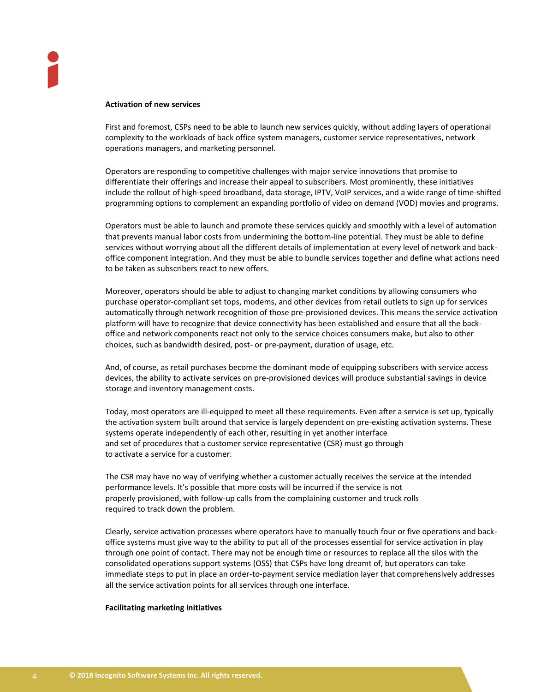#### <span id="page-3-0"></span>**Activation of new services**

First and foremost, CSPs need to be able to launch new services quickly, without adding layers of operational complexity to the workloads of back office system managers, customer service representatives, network operations managers, and marketing personnel.

Operators are responding to competitive challenges with major service innovations that promise to differentiate their offerings and increase their appeal to subscribers. Most prominently, these initiatives include the rollout of high-speed broadband, data storage, IPTV, VoIP services, and a wide range of time-shifted programming options to complement an expanding portfolio of video on demand (VOD) movies and programs.

Operators must be able to launch and promote these services quickly and smoothly with a level of automation that prevents manual labor costs from undermining the bottom-line potential. They must be able to define services without worrying about all the different details of implementation at every level of network and backoffice component integration. And they must be able to bundle services together and define what actions need to be taken as subscribers react to new offers.

Moreover, operators should be able to adjust to changing market conditions by allowing consumers who purchase operator-compliant set tops, modems, and other devices from retail outlets to sign up for services automatically through network recognition of those pre-provisioned devices. This means the service activation platform will have to recognize that device connectivity has been established and ensure that all the backoffice and network components react not only to the service choices consumers make, but also to other choices, such as bandwidth desired, post- or pre-payment, duration of usage, etc.

And, of course, as retail purchases become the dominant mode of equipping subscribers with service access devices, the ability to activate services on pre-provisioned devices will produce substantial savings in device storage and inventory management costs.

Today, most operators are ill-equipped to meet all these requirements. Even after a service is set up, typically the activation system built around that service is largely dependent on pre-existing activation systems. These systems operate independently of each other, resulting in yet another interface and set of procedures that a customer service representative (CSR) must go through to activate a service for a customer.

The CSR may have no way of verifying whether a customer actually receives the service at the intended performance levels. It's possible that more costs will be incurred if the service is not properly provisioned, with follow-up calls from the complaining customer and truck rolls required to track down the problem.

Clearly, service activation processes where operators have to manually touch four or five operations and backoffice systems must give way to the ability to put all of the processes essential for service activation in play through one point of contact. There may not be enough time or resources to replace all the silos with the consolidated operations support systems (OSS) that CSPs have long dreamt of, but operators can take immediate steps to put in place an order-to-payment service mediation layer that comprehensively addresses all the service activation points for all services through one interface.

#### <span id="page-3-1"></span>**Facilitating marketing initiatives**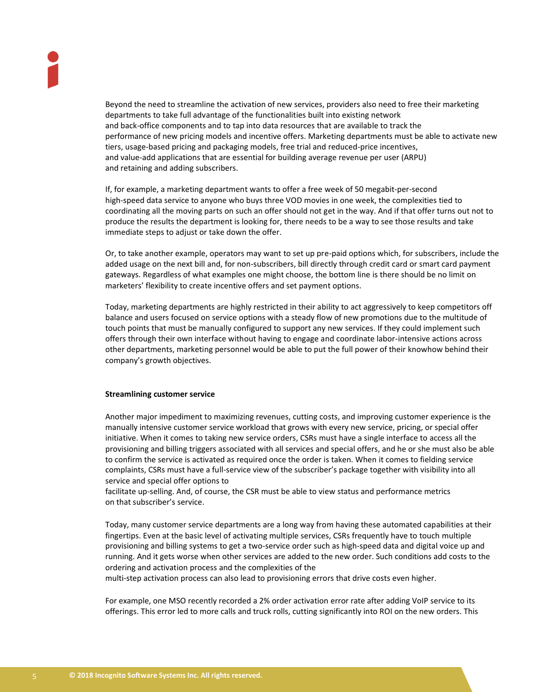Beyond the need to streamline the activation of new services, providers also need to free their marketing departments to take full advantage of the functionalities built into existing network and back-office components and to tap into data resources that are available to track the performance of new pricing models and incentive offers. Marketing departments must be able to activate new tiers, usage-based pricing and packaging models, free trial and reduced-price incentives, and value-add applications that are essential for building average revenue per user (ARPU) and retaining and adding subscribers.

If, for example, a marketing department wants to offer a free week of 50 megabit-per-second high-speed data service to anyone who buys three VOD movies in one week, the complexities tied to coordinating all the moving parts on such an offer should not get in the way. And if that offer turns out not to produce the results the department is looking for, there needs to be a way to see those results and take immediate steps to adjust or take down the offer.

Or, to take another example, operators may want to set up pre-paid options which, for subscribers, include the added usage on the next bill and, for non-subscribers, bill directly through credit card or smart card payment gateways. Regardless of what examples one might choose, the bottom line is there should be no limit on marketers' flexibility to create incentive offers and set payment options.

Today, marketing departments are highly restricted in their ability to act aggressively to keep competitors off balance and users focused on service options with a steady flow of new promotions due to the multitude of touch points that must be manually configured to support any new services. If they could implement such offers through their own interface without having to engage and coordinate labor-intensive actions across other departments, marketing personnel would be able to put the full power of their knowhow behind their company's growth objectives.

#### <span id="page-4-0"></span>**Streamlining customer service**

Another major impediment to maximizing revenues, cutting costs, and improving customer experience is the manually intensive customer service workload that grows with every new service, pricing, or special offer initiative. When it comes to taking new service orders, CSRs must have a single interface to access all the provisioning and billing triggers associated with all services and special offers, and he or she must also be able to confirm the service is activated as required once the order is taken. When it comes to fielding service complaints, CSRs must have a full-service view of the subscriber's package together with visibility into all service and special offer options to

facilitate up-selling. And, of course, the CSR must be able to view status and performance metrics on that subscriber's service.

Today, many customer service departments are a long way from having these automated capabilities at their fingertips. Even at the basic level of activating multiple services, CSRs frequently have to touch multiple provisioning and billing systems to get a two-service order such as high-speed data and digital voice up and running. And it gets worse when other services are added to the new order. Such conditions add costs to the ordering and activation process and the complexities of the

multi-step activation process can also lead to provisioning errors that drive costs even higher.

For example, one MSO recently recorded a 2% order activation error rate after adding VoIP service to its offerings. This error led to more calls and truck rolls, cutting significantly into ROI on the new orders. This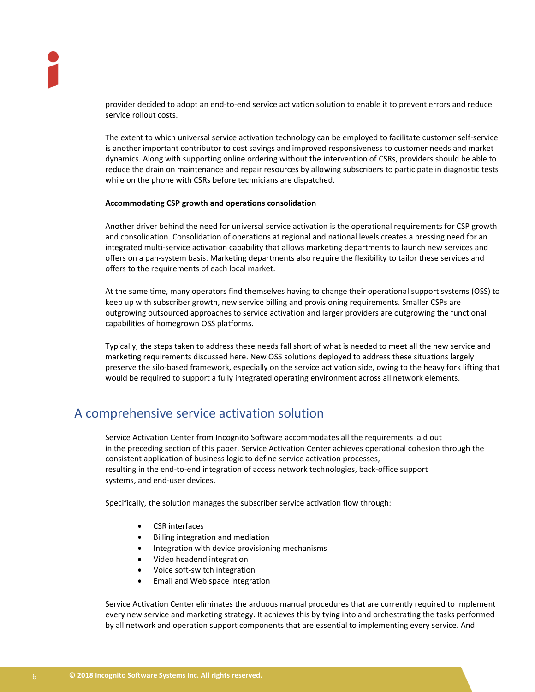provider decided to adopt an end-to-end service activation solution to enable it to prevent errors and reduce service rollout costs.

The extent to which universal service activation technology can be employed to facilitate customer self-service is another important contributor to cost savings and improved responsiveness to customer needs and market dynamics. Along with supporting online ordering without the intervention of CSRs, providers should be able to reduce the drain on maintenance and repair resources by allowing subscribers to participate in diagnostic tests while on the phone with CSRs before technicians are dispatched.

#### <span id="page-5-0"></span>**Accommodating CSP growth and operations consolidation**

Another driver behind the need for universal service activation is the operational requirements for CSP growth and consolidation. Consolidation of operations at regional and national levels creates a pressing need for an integrated multi-service activation capability that allows marketing departments to launch new services and offers on a pan-system basis. Marketing departments also require the flexibility to tailor these services and offers to the requirements of each local market.

At the same time, many operators find themselves having to change their operational support systems (OSS) to keep up with subscriber growth, new service billing and provisioning requirements. Smaller CSPs are outgrowing outsourced approaches to service activation and larger providers are outgrowing the functional capabilities of homegrown OSS platforms.

Typically, the steps taken to address these needs fall short of what is needed to meet all the new service and marketing requirements discussed here. New OSS solutions deployed to address these situations largely preserve the silo-based framework, especially on the service activation side, owing to the heavy fork lifting that would be required to support a fully integrated operating environment across all network elements.

### <span id="page-5-1"></span>A comprehensive service activation solution

Service Activation Center from Incognito Software accommodates all the requirements laid out in the preceding section of this paper. Service Activation Center achieves operational cohesion through the consistent application of business logic to define service activation processes, resulting in the end-to-end integration of access network technologies, back-office support systems, and end-user devices.

Specifically, the solution manages the subscriber service activation flow through:

- CSR interfaces
- Billing integration and mediation
- Integration with device provisioning mechanisms
- Video headend integration
- Voice soft-switch integration
- Email and Web space integration

Service Activation Center eliminates the arduous manual procedures that are currently required to implement every new service and marketing strategy. It achieves this by tying into and orchestrating the tasks performed by all network and operation support components that are essential to implementing every service. And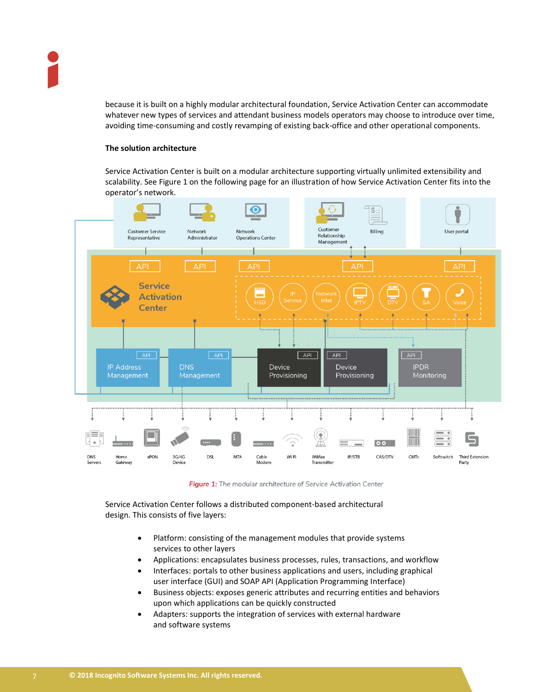because it is built on a highly modular architectural foundation, Service Activation Center can accommodate whatever new types of services and attendant business models operators may choose to introduce over time, avoiding time-consuming and costly revamping of existing back-office and other operational components.

#### <span id="page-6-0"></span>**The solution architecture**

Service Activation Center is built on a modular architecture supporting virtually unlimited extensibility and scalability. See Figure 1 on the following page for an illustration of how Service Activation Center fits into the operator's network.



Figure 1: The modular architecture of Service Activation Center

Service Activation Center follows a distributed component-based architectural design. This consists of five layers:

- Platform: consisting of the management modules that provide systems services to other layers
- Applications: encapsulates business processes, rules, transactions, and workflow
- Interfaces: portals to other business applications and users, including graphical user interface (GUI) and SOAP API (Application Programming Interface)
- Business objects: exposes generic attributes and recurring entities and behaviors upon which applications can be quickly constructed
- Adapters: supports the integration of services with external hardware and software systems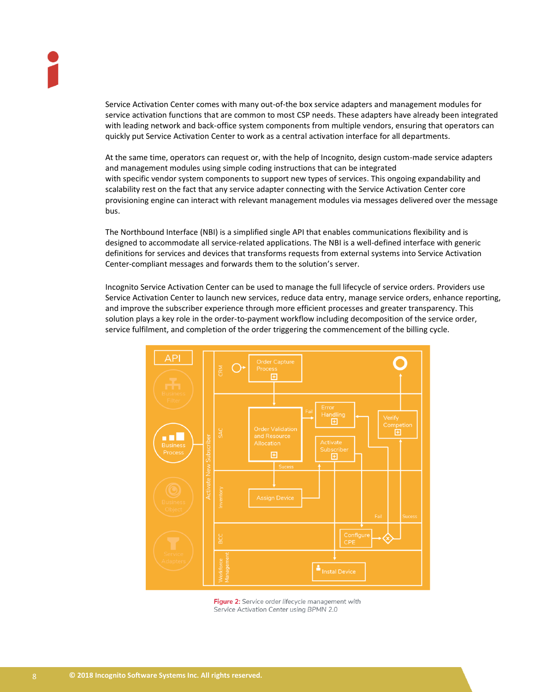Service Activation Center comes with many out-of-the box service adapters and management modules for service activation functions that are common to most CSP needs. These adapters have already been integrated with leading network and back-office system components from multiple vendors, ensuring that operators can quickly put Service Activation Center to work as a central activation interface for all departments.

At the same time, operators can request or, with the help of Incognito, design custom-made service adapters and management modules using simple coding instructions that can be integrated with specific vendor system components to support new types of services. This ongoing expandability and scalability rest on the fact that any service adapter connecting with the Service Activation Center core provisioning engine can interact with relevant management modules via messages delivered over the message bus.

The Northbound Interface (NBI) is a simplified single API that enables communications flexibility and is designed to accommodate all service-related applications. The NBI is a well-defined interface with generic definitions for services and devices that transforms requests from external systems into Service Activation Center-compliant messages and forwards them to the solution's server.

Incognito Service Activation Center can be used to manage the full lifecycle of service orders. Providers use Service Activation Center to launch new services, reduce data entry, manage service orders, enhance reporting, and improve the subscriber experience through more efficient processes and greater transparency. This solution plays a key role in the order-to-payment workflow including decomposition of the service order, service fulfilment, and completion of the order triggering the commencement of the billing cycle.



Figure 2: Service order lifecycle management with Service Activation Center using BPMN 2.0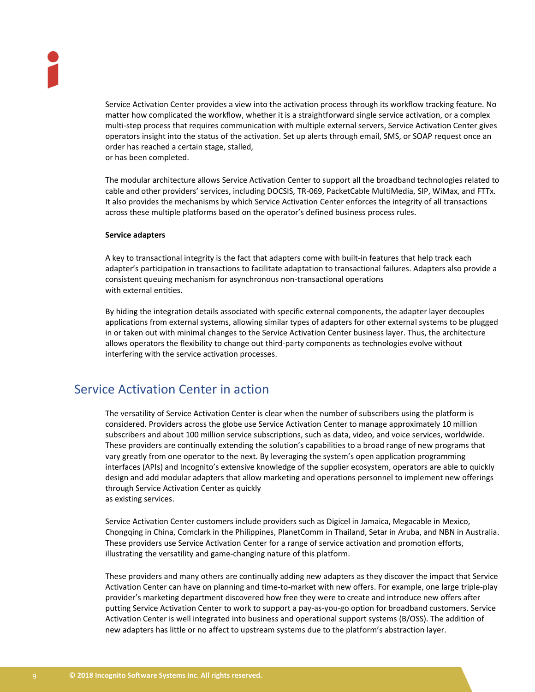Service Activation Center provides a view into the activation process through its workflow tracking feature. No matter how complicated the workflow, whether it is a straightforward single service activation, or a complex multi-step process that requires communication with multiple external servers, Service Activation Center gives operators insight into the status of the activation. Set up alerts through email, SMS, or SOAP request once an order has reached a certain stage, stalled, or has been completed.

The modular architecture allows Service Activation Center to support all the broadband technologies related to cable and other providers' services, including DOCSIS, TR-069, PacketCable MultiMedia, SIP, WiMax, and FTTx. It also provides the mechanisms by which Service Activation Center enforces the integrity of all transactions across these multiple platforms based on the operator's defined business process rules.

#### <span id="page-8-0"></span>**Service adapters**

A key to transactional integrity is the fact that adapters come with built-in features that help track each adapter's participation in transactions to facilitate adaptation to transactional failures. Adapters also provide a consistent queuing mechanism for asynchronous non-transactional operations with external entities.

By hiding the integration details associated with specific external components, the adapter layer decouples applications from external systems, allowing similar types of adapters for other external systems to be plugged in or taken out with minimal changes to the Service Activation Center business layer. Thus, the architecture allows operators the flexibility to change out third-party components as technologies evolve without interfering with the service activation processes.

## <span id="page-8-1"></span>Service Activation Center in action

The versatility of Service Activation Center is clear when the number of subscribers using the platform is considered. Providers across the globe use Service Activation Center to manage approximately 10 million subscribers and about 100 million service subscriptions, such as data, video, and voice services, worldwide. These providers are continually extending the solution's capabilities to a broad range of new programs that vary greatly from one operator to the next. By leveraging the system's open application programming interfaces (APIs) and Incognito's extensive knowledge of the supplier ecosystem, operators are able to quickly design and add modular adapters that allow marketing and operations personnel to implement new offerings through Service Activation Center as quickly as existing services.

Service Activation Center customers include providers such as Digicel in Jamaica, Megacable in Mexico, Chongqing in China, Comclark in the Philippines, PlanetComm in Thailand, Setar in Aruba, and NBN in Australia. These providers use Service Activation Center for a range of service activation and promotion efforts, illustrating the versatility and game-changing nature of this platform.

These providers and many others are continually adding new adapters as they discover the impact that Service Activation Center can have on planning and time-to-market with new offers. For example, one large triple-play provider's marketing department discovered how free they were to create and introduce new offers after putting Service Activation Center to work to support a pay-as-you-go option for broadband customers. Service Activation Center is well integrated into business and operational support systems (B/OSS). The addition of new adapters has little or no affect to upstream systems due to the platform's abstraction layer.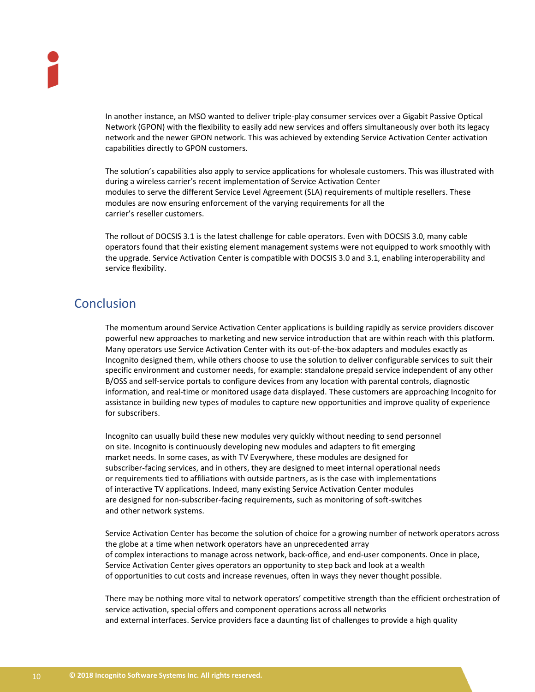In another instance, an MSO wanted to deliver triple-play consumer services over a Gigabit Passive Optical Network (GPON) with the flexibility to easily add new services and offers simultaneously over both its legacy network and the newer GPON network. This was achieved by extending Service Activation Center activation capabilities directly to GPON customers.

The solution's capabilities also apply to service applications for wholesale customers. This was illustrated with during a wireless carrier's recent implementation of Service Activation Center modules to serve the different Service Level Agreement (SLA) requirements of multiple resellers. These modules are now ensuring enforcement of the varying requirements for all the carrier's reseller customers.

The rollout of DOCSIS 3.1 is the latest challenge for cable operators. Even with DOCSIS 3.0, many cable operators found that their existing element management systems were not equipped to work smoothly with the upgrade. Service Activation Center is compatible with DOCSIS 3.0 and 3.1, enabling interoperability and service flexibility.

## <span id="page-9-0"></span>**Conclusion**

The momentum around Service Activation Center applications is building rapidly as service providers discover powerful new approaches to marketing and new service introduction that are within reach with this platform. Many operators use Service Activation Center with its out-of-the-box adapters and modules exactly as Incognito designed them, while others choose to use the solution to deliver configurable services to suit their specific environment and customer needs, for example: standalone prepaid service independent of any other B/OSS and self-service portals to configure devices from any location with parental controls, diagnostic information, and real-time or monitored usage data displayed. These customers are approaching Incognito for assistance in building new types of modules to capture new opportunities and improve quality of experience for subscribers.

Incognito can usually build these new modules very quickly without needing to send personnel on site. Incognito is continuously developing new modules and adapters to fit emerging market needs. In some cases, as with TV Everywhere, these modules are designed for subscriber-facing services, and in others, they are designed to meet internal operational needs or requirements tied to affiliations with outside partners, as is the case with implementations of interactive TV applications. Indeed, many existing Service Activation Center modules are designed for non-subscriber-facing requirements, such as monitoring of soft-switches and other network systems.

Service Activation Center has become the solution of choice for a growing number of network operators across the globe at a time when network operators have an unprecedented array of complex interactions to manage across network, back-office, and end-user components. Once in place, Service Activation Center gives operators an opportunity to step back and look at a wealth of opportunities to cut costs and increase revenues, often in ways they never thought possible.

There may be nothing more vital to network operators' competitive strength than the efficient orchestration of service activation, special offers and component operations across all networks and external interfaces. Service providers face a daunting list of challenges to provide a high quality